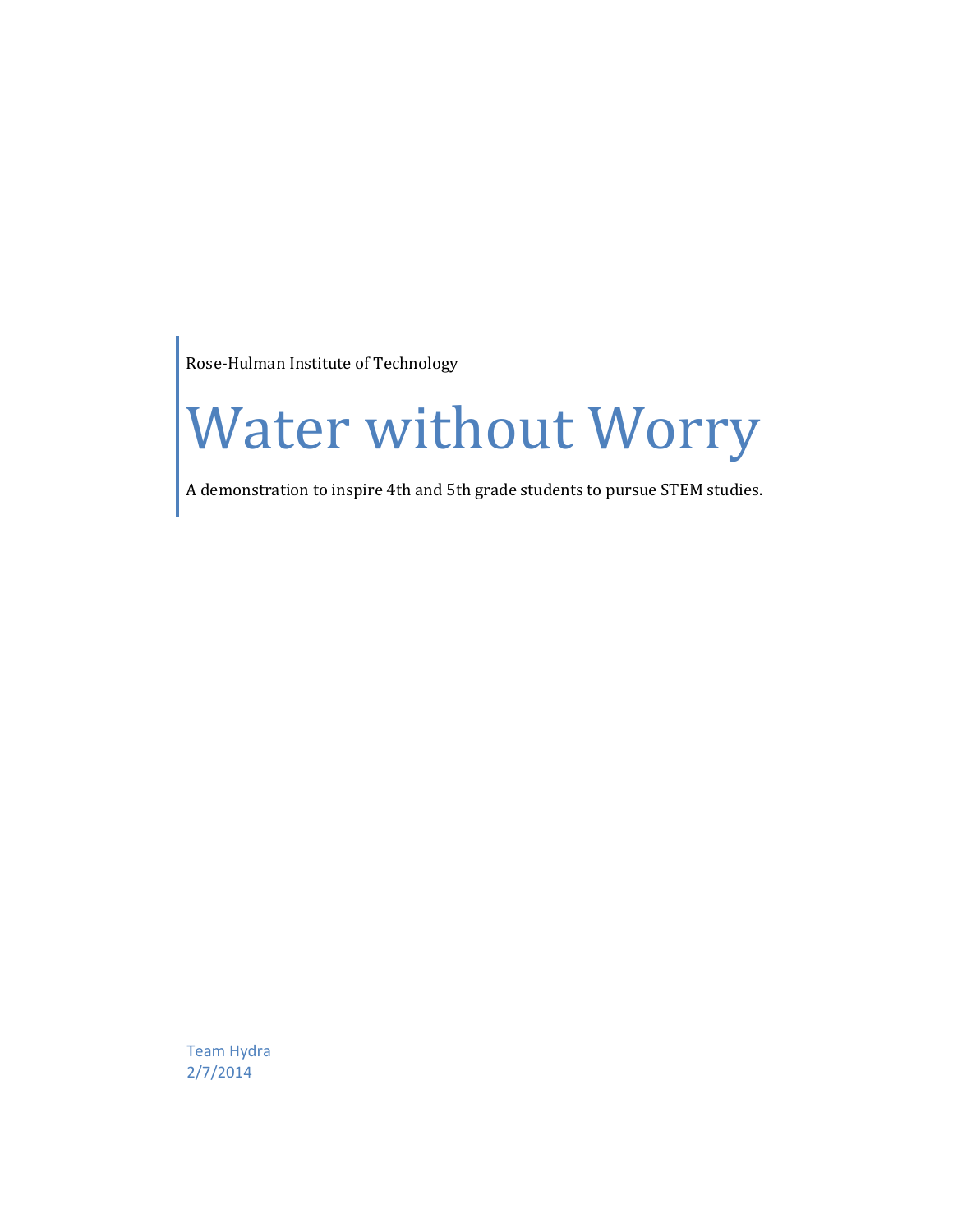Rose-Hulman Institute of Technology

# Water without Worry

A demonstration to inspire 4th and 5th grade students to pursue STEM studies.

Team Hydra 2/7/2014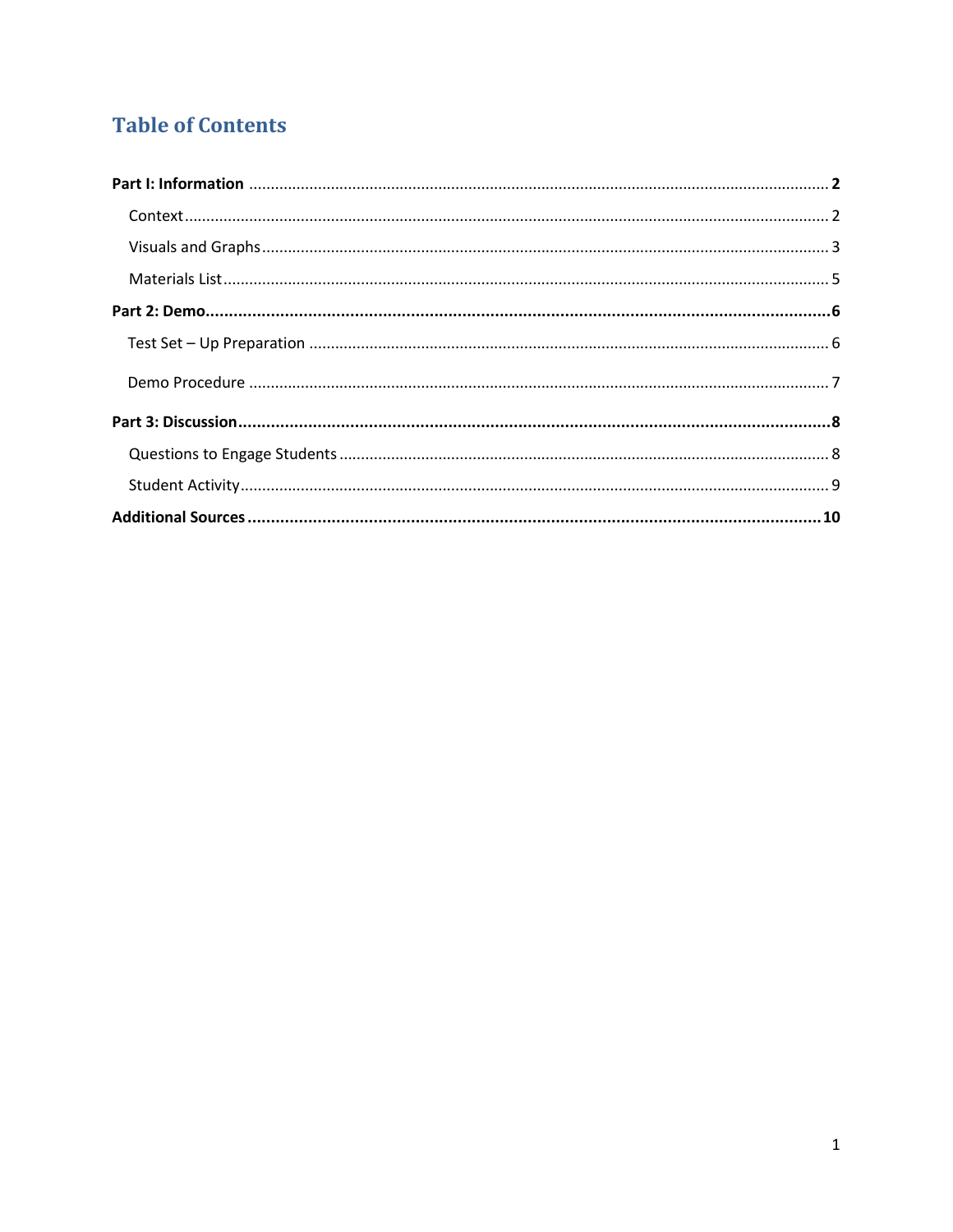# **Table of Contents**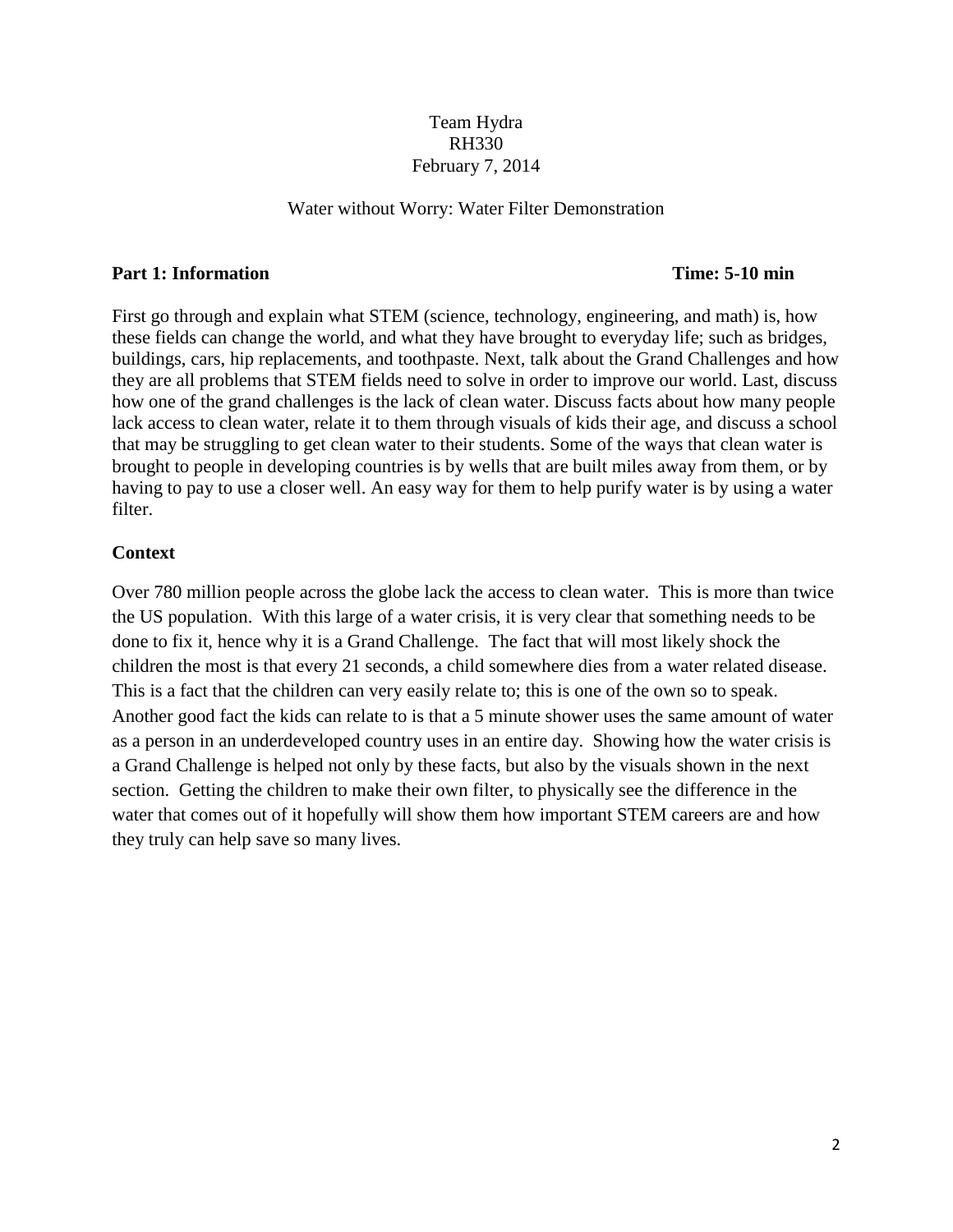## Team Hydra RH330 February 7, 2014

#### Water without Worry: Water Filter Demonstration

#### **Part 1: Information Time: 5-10 min**

First go through and explain what STEM (science, technology, engineering, and math) is, how these fields can change the world, and what they have brought to everyday life; such as bridges, buildings, cars, hip replacements, and toothpaste. Next, talk about the Grand Challenges and how they are all problems that STEM fields need to solve in order to improve our world. Last, discuss how one of the grand challenges is the lack of clean water. Discuss facts about how many people lack access to clean water, relate it to them through visuals of kids their age, and discuss a school that may be struggling to get clean water to their students. Some of the ways that clean water is brought to people in developing countries is by wells that are built miles away from them, or by having to pay to use a closer well. An easy way for them to help purify water is by using a water filter.

#### **Context**

Over 780 million people across the globe lack the access to clean water. This is more than twice the US population. With this large of a water crisis, it is very clear that something needs to be done to fix it, hence why it is a Grand Challenge. The fact that will most likely shock the children the most is that every 21 seconds, a child somewhere dies from a water related disease. This is a fact that the children can very easily relate to; this is one of the own so to speak. Another good fact the kids can relate to is that a 5 minute shower uses the same amount of water as a person in an underdeveloped country uses in an entire day. Showing how the water crisis is a Grand Challenge is helped not only by these facts, but also by the visuals shown in the next section. Getting the children to make their own filter, to physically see the difference in the water that comes out of it hopefully will show them how important STEM careers are and how they truly can help save so many lives.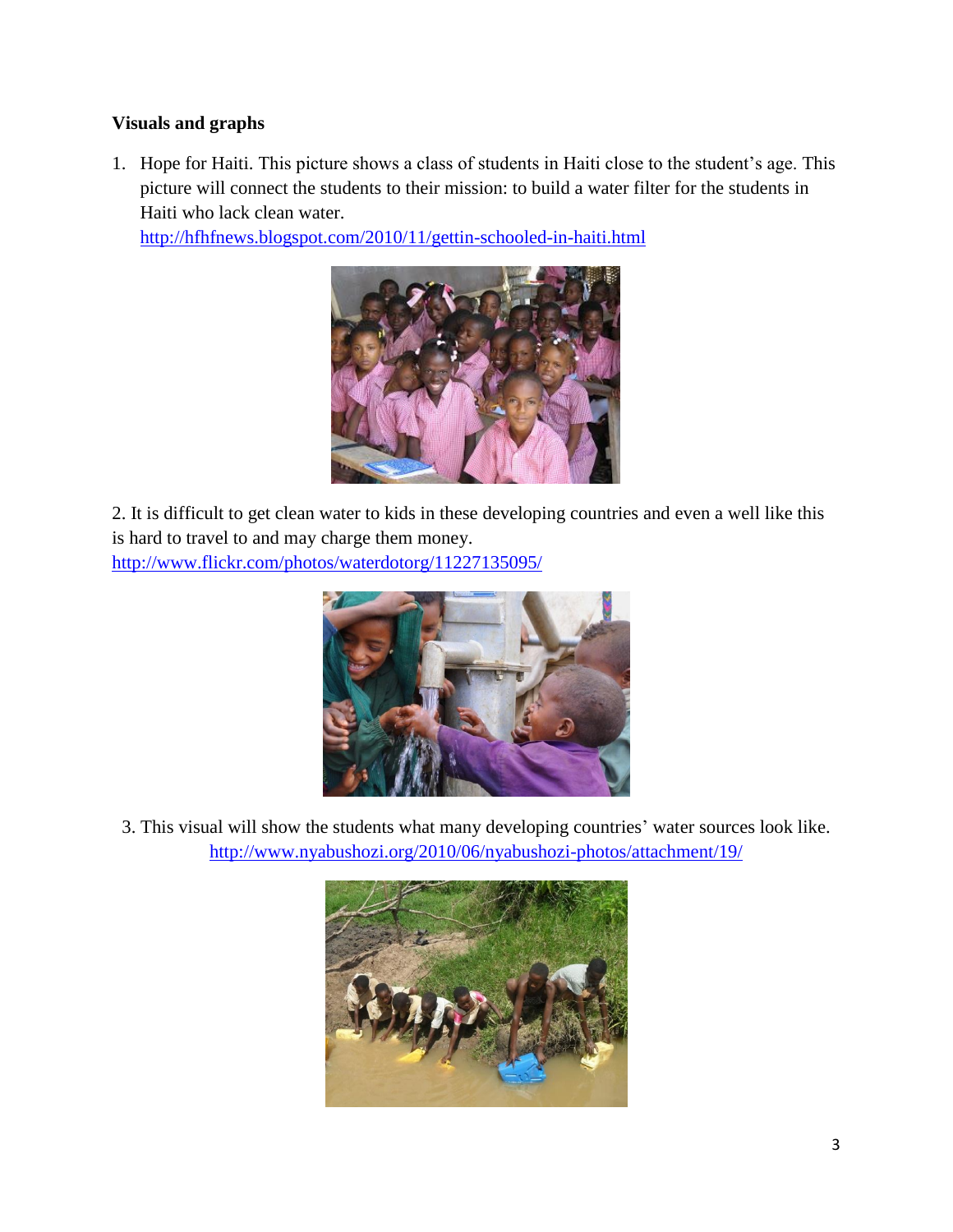## **Visuals and graphs**

1. Hope for Haiti. This picture shows a class of students in Haiti close to the student's age. This picture will connect the students to their mission: to build a water filter for the students in Haiti who lack clean water.

<http://hfhfnews.blogspot.com/2010/11/gettin-schooled-in-haiti.html>



2. It is difficult to get clean water to kids in these developing countries and even a well like this is hard to travel to and may charge them money. <http://www.flickr.com/photos/waterdotorg/11227135095/>



3. This visual will show the students what many developing countries' water sources look like. <http://www.nyabushozi.org/2010/06/nyabushozi-photos/attachment/19/>

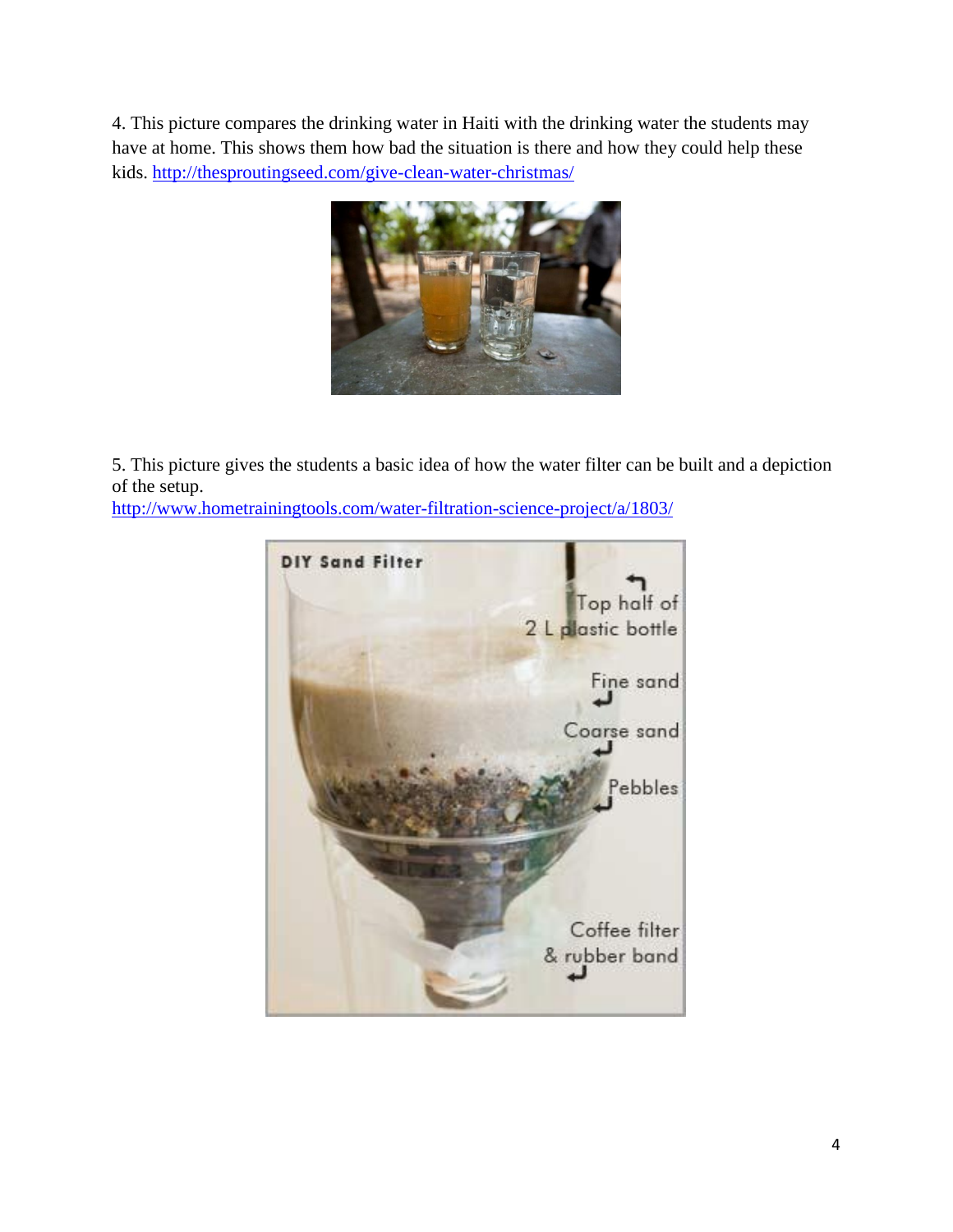4. This picture compares the drinking water in Haiti with the drinking water the students may have at home. This shows them how bad the situation is there and how they could help these kids. <http://thesproutingseed.com/give-clean-water-christmas/>



5. This picture gives the students a basic idea of how the water filter can be built and a depiction of the setup.

<http://www.hometrainingtools.com/water-filtration-science-project/a/1803/>

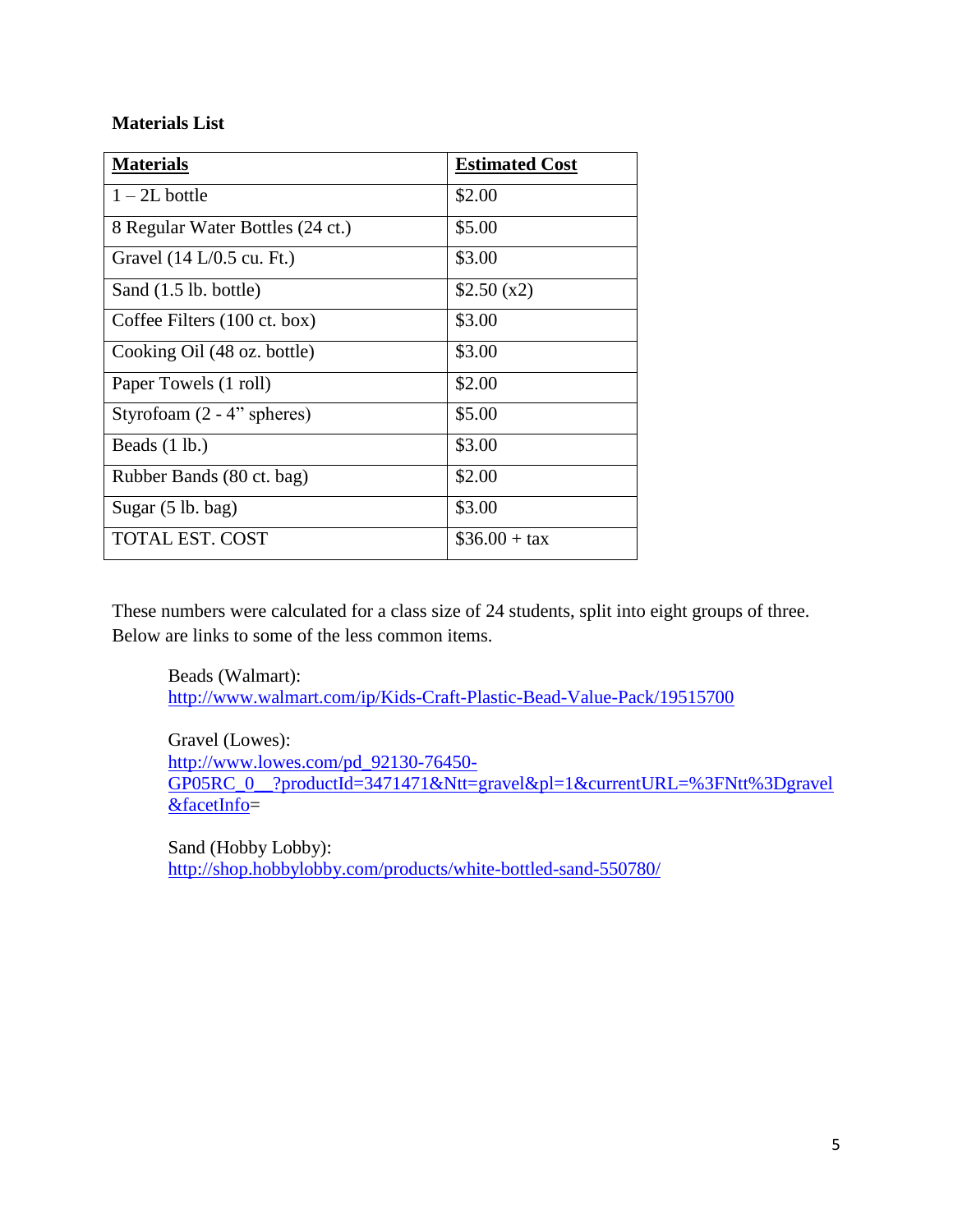## **Materials List**

| <b>Materials</b>                            | <b>Estimated Cost</b> |
|---------------------------------------------|-----------------------|
| $1 - 2L$ bottle                             | \$2.00                |
| 8 Regular Water Bottles (24 ct.)            | \$5.00                |
| Gravel $(14 L/0.5 \text{ cu. } \text{Ft.})$ | \$3.00                |
| Sand (1.5 lb. bottle)                       | \$2.50(x2)            |
| Coffee Filters (100 ct. box)                | \$3.00                |
| Cooking Oil (48 oz. bottle)                 | \$3.00                |
| Paper Towels (1 roll)                       | \$2.00                |
| Styrofoam $(2 - 4$ " spheres)               | \$5.00                |
| Beads $(1 lb.)$                             | \$3.00                |
| Rubber Bands (80 ct. bag)                   | \$2.00                |
| Sugar $(5 \text{ lb. bag})$                 | \$3.00                |
| TOTAL EST. COST                             | $\$36.00 + tax$       |

These numbers were calculated for a class size of 24 students, split into eight groups of three. Below are links to some of the less common items.

Beads (Walmart): <http://www.walmart.com/ip/Kids-Craft-Plastic-Bead-Value-Pack/19515700>

Gravel (Lowes): [http://www.lowes.com/pd\\_92130-76450-](http://www.lowes.com/pd_92130-76450-GP05RC_0__?productId=3471471&Ntt=gravel&pl=1¤tURL=%3FNtt%3Dgravel&facetInfo) GP05RC\_0\_?productId=3471471&Ntt=gravel&pl=1&currentURL=%3FNtt%3Dgravel [&facetInfo=](http://www.lowes.com/pd_92130-76450-GP05RC_0__?productId=3471471&Ntt=gravel&pl=1¤tURL=%3FNtt%3Dgravel&facetInfo)

Sand (Hobby Lobby): <http://shop.hobbylobby.com/products/white-bottled-sand-550780/>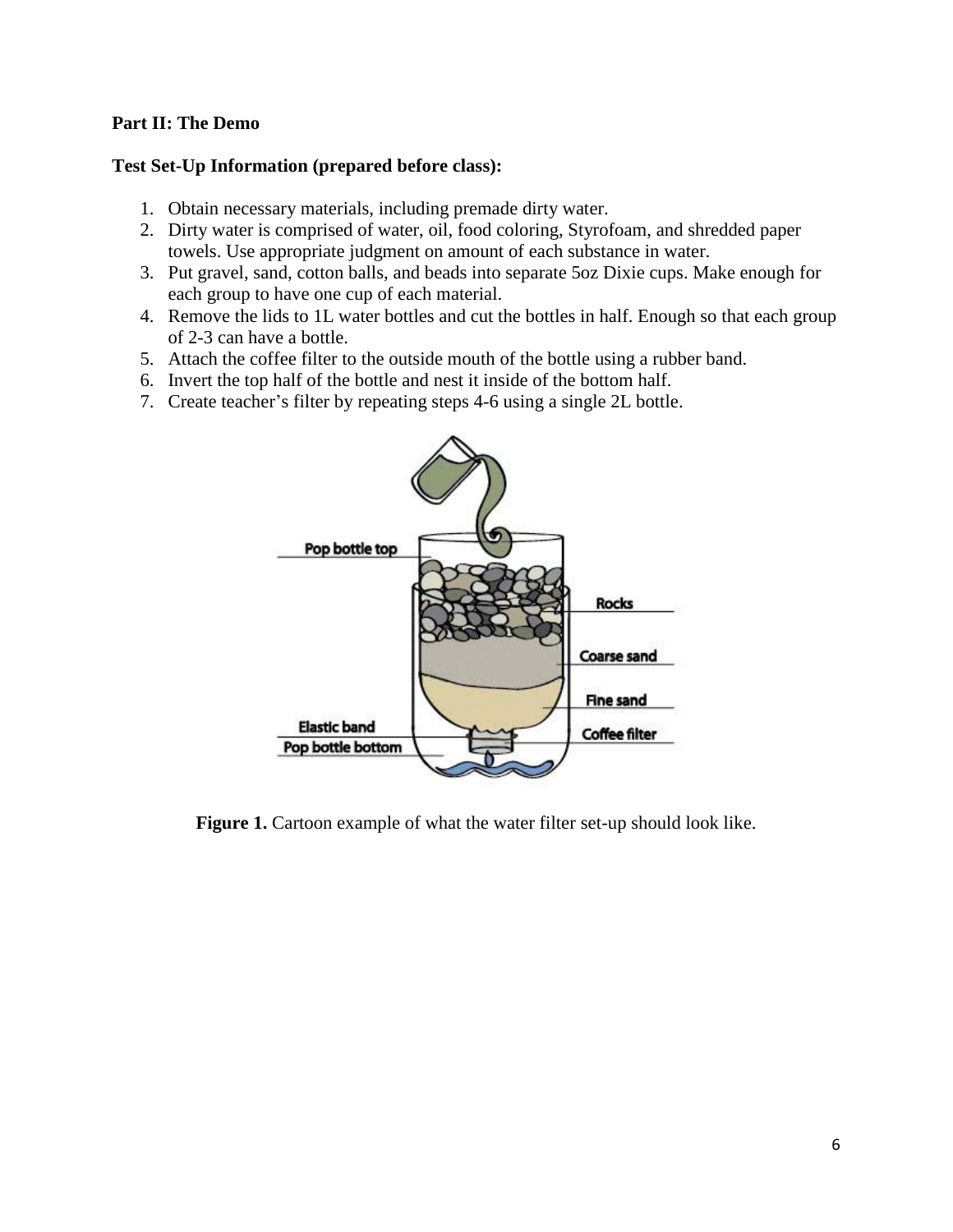### **Part II: The Demo**

#### **Test Set-Up Information (prepared before class):**

- 1. Obtain necessary materials, including premade dirty water.
- 2. Dirty water is comprised of water, oil, food coloring, Styrofoam, and shredded paper towels. Use appropriate judgment on amount of each substance in water.
- 3. Put gravel, sand, cotton balls, and beads into separate 5oz Dixie cups. Make enough for each group to have one cup of each material.
- 4. Remove the lids to 1L water bottles and cut the bottles in half. Enough so that each group of 2-3 can have a bottle.
- 5. Attach the coffee filter to the outside mouth of the bottle using a rubber band.
- 6. Invert the top half of the bottle and nest it inside of the bottom half.
- 7. Create teacher's filter by repeating steps 4-6 using a single 2L bottle.



**Figure 1.** Cartoon example of what the water filter set-up should look like.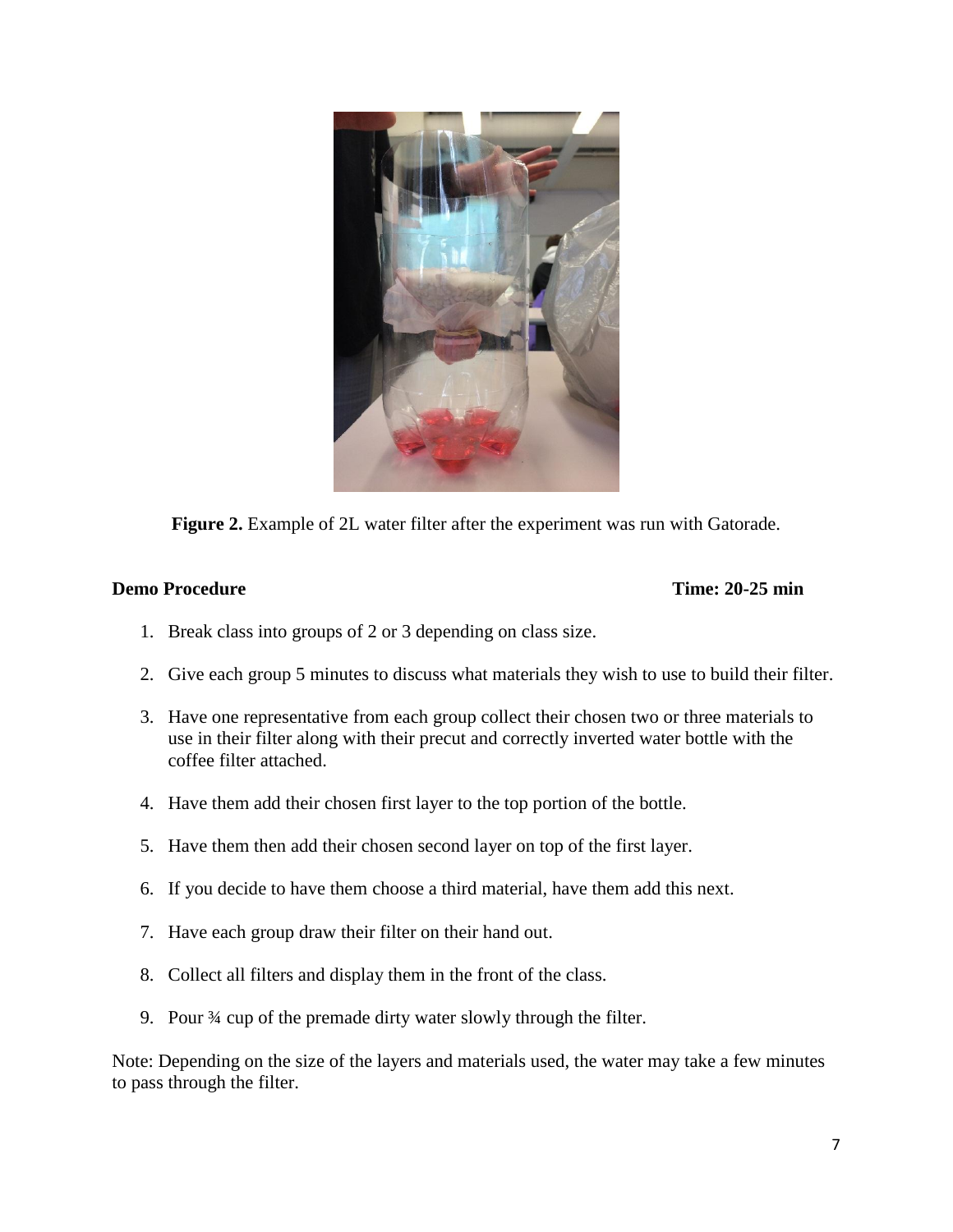

**Figure 2.** Example of 2L water filter after the experiment was run with Gatorade.

#### **Demo Procedure Time: 20-25 min**

- 1. Break class into groups of 2 or 3 depending on class size.
- 2. Give each group 5 minutes to discuss what materials they wish to use to build their filter.
- 3. Have one representative from each group collect their chosen two or three materials to use in their filter along with their precut and correctly inverted water bottle with the coffee filter attached.
- 4. Have them add their chosen first layer to the top portion of the bottle.
- 5. Have them then add their chosen second layer on top of the first layer.
- 6. If you decide to have them choose a third material, have them add this next.
- 7. Have each group draw their filter on their hand out.
- 8. Collect all filters and display them in the front of the class.
- 9. Pour ¾ cup of the premade dirty water slowly through the filter.

Note: Depending on the size of the layers and materials used, the water may take a few minutes to pass through the filter.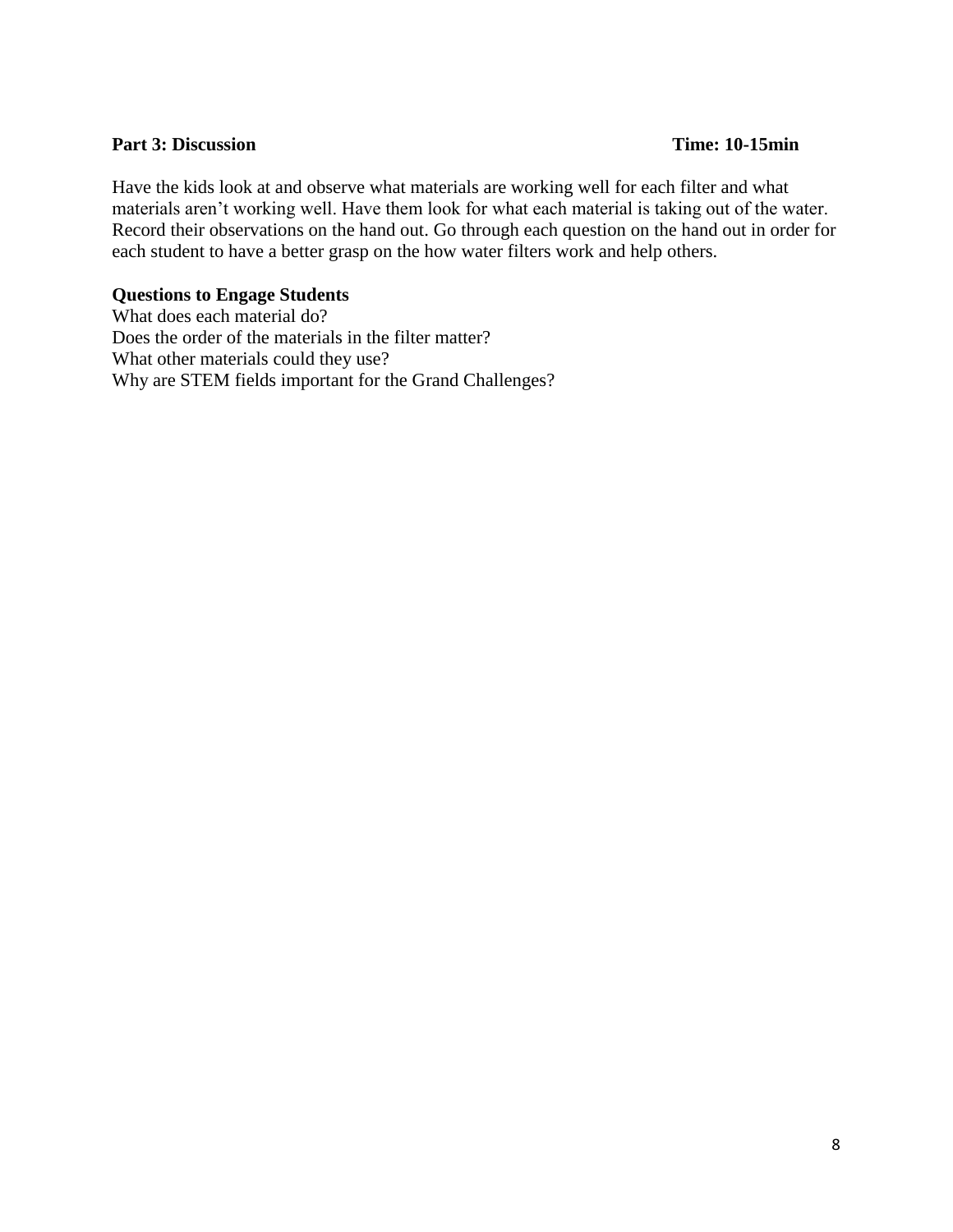#### **Part 3: Discussion Time: 10-15min**

Have the kids look at and observe what materials are working well for each filter and what materials aren't working well. Have them look for what each material is taking out of the water. Record their observations on the hand out. Go through each question on the hand out in order for each student to have a better grasp on the how water filters work and help others.

#### **Questions to Engage Students**

What does each material do? Does the order of the materials in the filter matter? What other materials could they use? Why are STEM fields important for the Grand Challenges?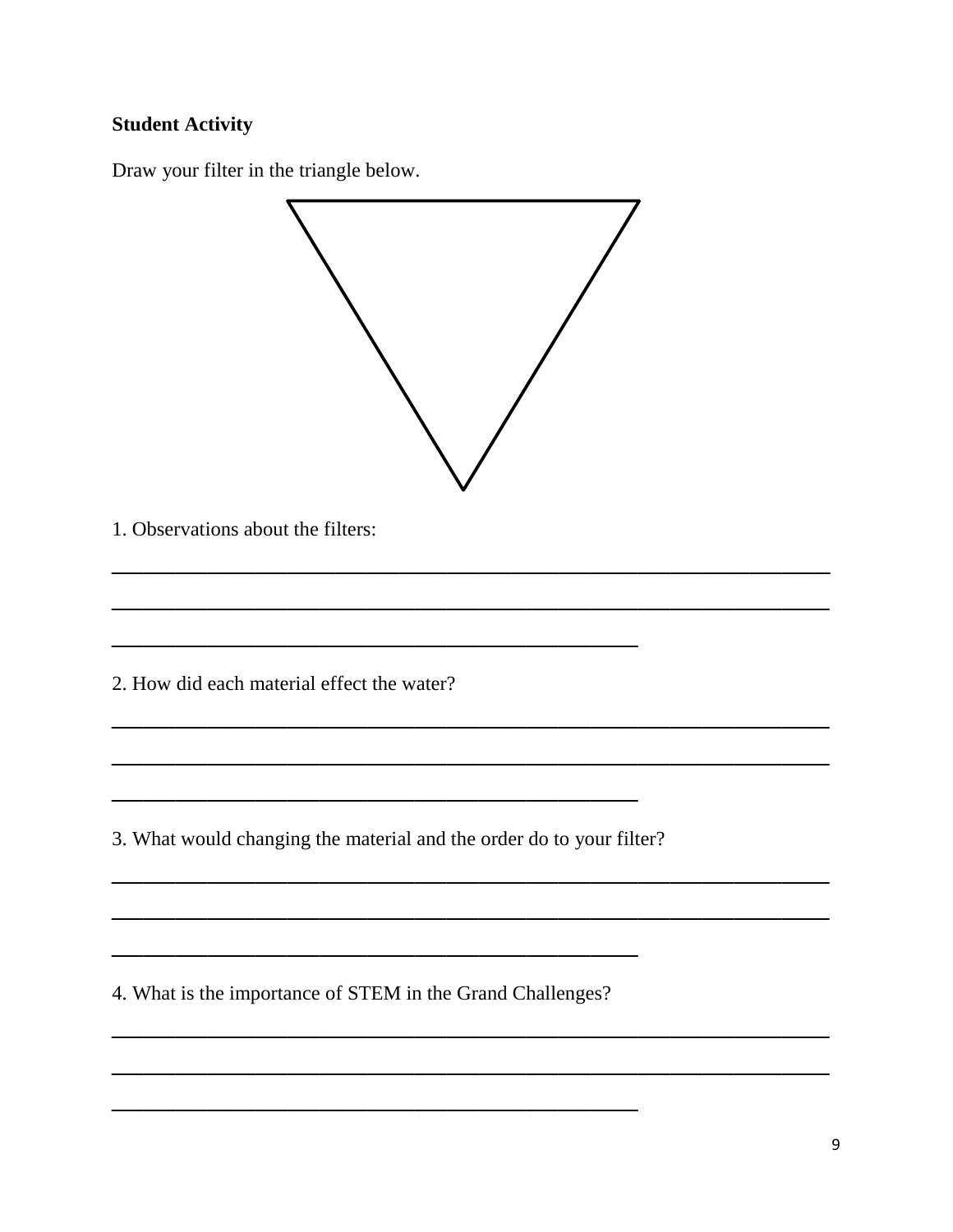## **Student Activity**

Draw your filter in the triangle below.